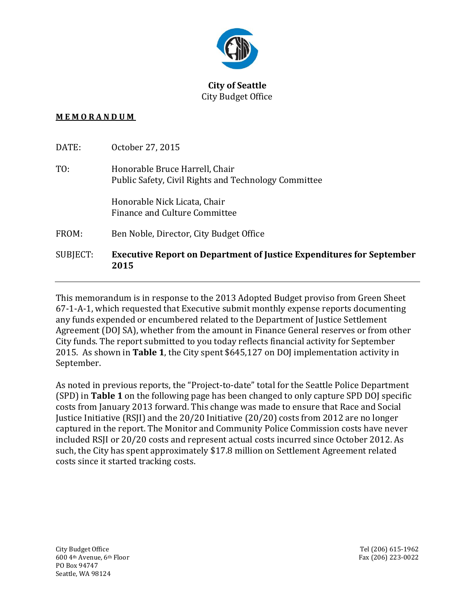

## **City of Seattle** City Budget Office

## **M E M O R A N D U M**

| SUBJECT: | <b>Executive Report on Department of Justice Expenditures for September</b><br>2015    |
|----------|----------------------------------------------------------------------------------------|
| FROM:    | Ben Noble, Director, City Budget Office                                                |
|          | Honorable Nick Licata, Chair<br>Finance and Culture Committee                          |
| T0:      | Honorable Bruce Harrell, Chair<br>Public Safety, Civil Rights and Technology Committee |
| DATE:    | October 27, 2015                                                                       |

This memorandum is in response to the 2013 Adopted Budget proviso from Green Sheet 67-1-A-1, which requested that Executive submit monthly expense reports documenting any funds expended or encumbered related to the Department of Justice Settlement Agreement (DOJ SA), whether from the amount in Finance General reserves or from other City funds. The report submitted to you today reflects financial activity for September 2015. As shown in **Table 1**, the City spent \$645,127 on DOJ implementation activity in September.

As noted in previous reports, the "Project-to-date" total for the Seattle Police Department (SPD) in **Table 1** on the following page has been changed to only capture SPD DOJ specific costs from January 2013 forward. This change was made to ensure that Race and Social Justice Initiative (RSJI) and the 20/20 Initiative (20/20) costs from 2012 are no longer captured in the report. The Monitor and Community Police Commission costs have never included RSJI or 20/20 costs and represent actual costs incurred since October 2012. As such, the City has spent approximately \$17.8 million on Settlement Agreement related costs since it started tracking costs.

City Budget Office Tel (206) 615-1962 600 4th Avenue, 6th Floor Fax (206) 223-0022 PO Box 94747 Seattle, WA 98124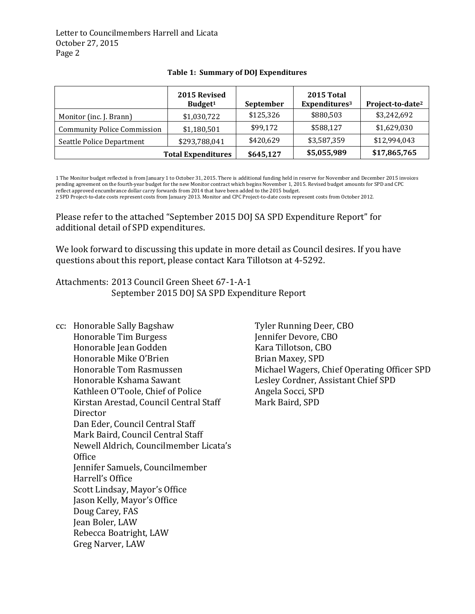Letter to Councilmembers Harrell and Licata October 27, 2015 Page 2

|                                    | 2015 Revised<br>Budget <sup>1</sup> | September   | 2015 Total<br>Expenditures <sup>3</sup> | Project-to-date <sup>2</sup> |
|------------------------------------|-------------------------------------|-------------|-----------------------------------------|------------------------------|
| Monitor (inc. J. Brann)            | \$1,030,722                         | \$125,326   | \$880,503                               | \$3,242,692                  |
| <b>Community Police Commission</b> | \$1,180,501                         | \$99,172    | \$588,127                               | \$1,629,030                  |
| <b>Seattle Police Department</b>   | \$293,788,041                       | \$420,629   | \$3,587,359                             | \$12,994,043                 |
| <b>Total Expenditures</b>          | \$645,127                           | \$5,055,989 | \$17,865,765                            |                              |

## **Table 1: Summary of DOJ Expenditures**

1 The Monitor budget reflected is from January 1 to October 31, 2015. There is additional funding held in reserve for November and December 2015 invoices pending agreement on the fourth-year budget for the new Monitor contract which begins November 1, 2015. Revised budget amounts for SPD and CPC reflect approved encumbrance dollar carry forwards from 2014 that have been added to the 2015 budget.

2 SPD Project-to-date costs represent costs from January 2013. Monitor and CPC Project-to-date costs represent costs from October 2012.

Please refer to the attached "September 2015 DOJ SA SPD Expenditure Report" for additional detail of SPD expenditures.

We look forward to discussing this update in more detail as Council desires. If you have questions about this report, please contact Kara Tillotson at 4-5292.

Attachments: 2013 Council Green Sheet 67-1-A-1 September 2015 DOJ SA SPD Expenditure Report

cc: Honorable Sally Bagshaw Honorable Tim Burgess Honorable Jean Godden Honorable Mike O'Brien Honorable Tom Rasmussen Honorable Kshama Sawant Kathleen O'Toole, Chief of Police Kirstan Arestad, Council Central Staff Director Dan Eder, Council Central Staff Mark Baird, Council Central Staff Newell Aldrich, Councilmember Licata's **Office** Jennifer Samuels, Councilmember Harrell's Office Scott Lindsay, Mayor's Office Jason Kelly, Mayor's Office Doug Carey, FAS Jean Boler, LAW Rebecca Boatright, LAW Greg Narver, LAW

Tyler Running Deer, CBO Jennifer Devore, CBO Kara Tillotson, CBO Brian Maxey, SPD Michael Wagers, Chief Operating Officer SPD Lesley Cordner, Assistant Chief SPD Angela Socci, SPD Mark Baird, SPD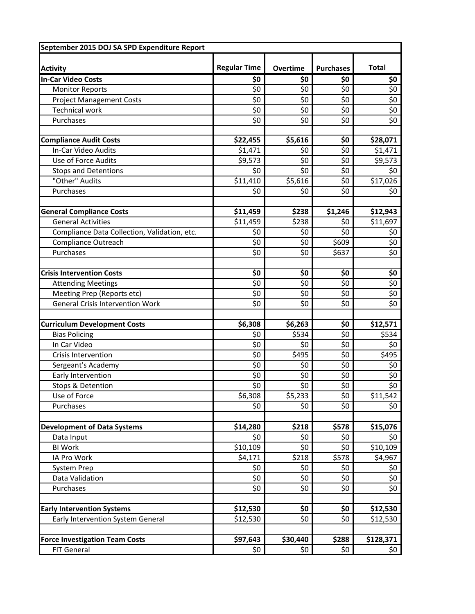| September 2015 DOJ SA SPD Expenditure Report |                     |                    |                  |              |  |
|----------------------------------------------|---------------------|--------------------|------------------|--------------|--|
|                                              |                     |                    |                  |              |  |
| <b>Activity</b>                              | <b>Regular Time</b> | <b>Overtime</b>    | <b>Purchases</b> | <b>Total</b> |  |
| <b>In-Car Video Costs</b>                    | \$0                 | \$0                | \$0              | \$0          |  |
| <b>Monitor Reports</b>                       | \$0                 | $\overline{\xi_0}$ | \$0              | \$0          |  |
| <b>Project Management Costs</b>              | \$0                 | \$0                | \$0              | \$0          |  |
| <b>Technical work</b>                        | \$0                 | \$0                | \$0              | \$0          |  |
| Purchases                                    | \$0                 | \$0                | \$0              | \$0          |  |
|                                              |                     |                    |                  |              |  |
| <b>Compliance Audit Costs</b>                | \$22,455            | \$5,616            | \$0              | \$28,071     |  |
| In-Car Video Audits                          | \$1,471             | \$0                | \$0              | \$1,471      |  |
| Use of Force Audits                          | \$9,573             | \$0                | \$0              | \$9,573      |  |
| <b>Stops and Detentions</b>                  | \$0                 | \$0                | \$0              | \$0          |  |
| "Other" Audits                               | \$11,410            | \$5,616            | \$0              | \$17,026     |  |
| Purchases                                    | \$0                 | \$0                | \$0              | \$0          |  |
|                                              |                     |                    |                  |              |  |
| <b>General Compliance Costs</b>              | \$11,459            | \$238              | \$1,246          | \$12,943     |  |
| <b>General Activities</b>                    | \$11,459            | 5238               | \$0              | \$11,697     |  |
| Compliance Data Collection, Validation, etc. | \$0                 | \$0                | \$0              | \$0          |  |
| <b>Compliance Outreach</b>                   | \$0                 | \$0                | \$609            | \$0          |  |
| Purchases                                    | \$0                 | \$0                | \$637            | \$0          |  |
|                                              |                     |                    |                  |              |  |
| <b>Crisis Intervention Costs</b>             | \$0                 | \$0                | \$0              | \$0          |  |
| <b>Attending Meetings</b>                    | \$0                 | \$0                | \$0              | \$0          |  |
| Meeting Prep (Reports etc)                   | \$0                 | \$0                | \$0              | \$0          |  |
| <b>General Crisis Intervention Work</b>      | \$0                 | \$0                | \$0              | \$0          |  |
|                                              |                     |                    |                  |              |  |
| <b>Curriculum Development Costs</b>          | \$6,308             | \$6,263            | \$0              | \$12,571     |  |
| <b>Bias Policing</b>                         | \$0                 | \$534              | \$0              | \$534        |  |
| In Car Video                                 | \$0                 | \$0                | \$0              | \$0          |  |
| <b>Crisis Intervention</b>                   | \$0                 | \$495              | \$0              | \$495        |  |
| Sergeant's Academy                           | \$0                 | \$0                | \$0              | \$0          |  |
| Early Intervention<br>Stops & Detention      | \$0<br>\$0          | \$0<br>\$0         | \$0<br>\$0       | \$0<br>\$0   |  |
| Use of Force                                 |                     |                    |                  |              |  |
| Purchases                                    | \$6,308<br>\$0      | \$5,233<br>\$0     | \$0<br>\$0       | \$11,542     |  |
|                                              |                     |                    |                  | \$0          |  |
| <b>Development of Data Systems</b>           | \$14,280            | \$218              | \$578            | \$15,076     |  |
| Data Input                                   | \$0                 | \$0                | \$0              | \$0          |  |
| <b>BI Work</b>                               | \$10,109            | \$0                | \$0              | \$10,109     |  |
| IA Pro Work                                  | \$4,171             | \$218              | \$578            | \$4,967      |  |
| System Prep                                  | \$0                 | \$0                | \$0              | \$0          |  |
| Data Validation                              | \$0                 | \$0                | \$0              | \$0          |  |
| Purchases                                    | \$0                 | \$0                | \$0              | \$0          |  |
|                                              |                     |                    |                  |              |  |
| <b>Early Intervention Systems</b>            | \$12,530            | \$0                | \$0              | \$12,530     |  |
| Early Intervention System General            | \$12,530            | \$0                | \$0              | \$12,530     |  |
|                                              |                     |                    |                  |              |  |
| <b>Force Investigation Team Costs</b>        | \$97,643            | \$30,440           | \$288            | \$128,371    |  |
| FIT General                                  | \$0                 | \$0                | \$0              | \$0          |  |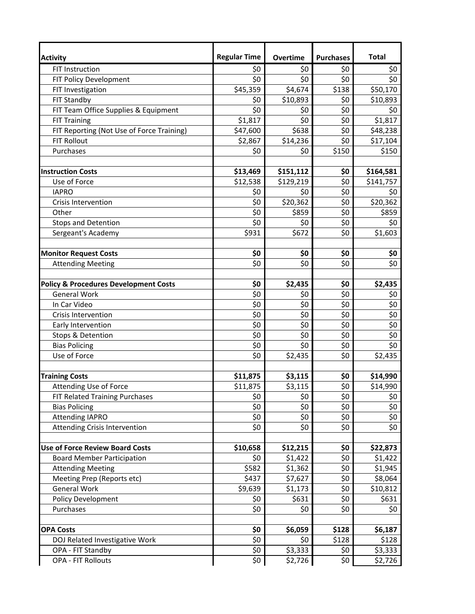| <b>Activity</b>                                  | <b>Regular Time</b> | <b>Overtime</b> | <b>Purchases</b> | <b>Total</b> |
|--------------------------------------------------|---------------------|-----------------|------------------|--------------|
| FIT Instruction                                  | \$0                 | \$0             | \$0              | \$0          |
| FIT Policy Development                           | \$0                 | \$0             | \$0              | \$0          |
| FIT Investigation                                | \$45,359            | \$4,674         | \$138            | \$50,170     |
| FIT Standby                                      | \$0                 | \$10,893        | \$0              | \$10,893     |
| FIT Team Office Supplies & Equipment             | \$0                 | \$0             | \$0              | \$0          |
| <b>FIT Training</b>                              | \$1,817             | \$0             | \$0              | \$1,817      |
| FIT Reporting (Not Use of Force Training)        | \$47,600            | \$638           | \$0              | \$48,238     |
| <b>FIT Rollout</b>                               | \$2,867             | \$14,236        | \$0              | \$17,104     |
| Purchases                                        | \$0                 | \$0             | \$150            | \$150        |
|                                                  |                     |                 |                  |              |
| <b>Instruction Costs</b>                         | \$13,469            | \$151,112       | \$0              | \$164,581    |
| Use of Force                                     | \$12,538            | \$129,219       | \$0              | \$141,757    |
| <b>IAPRO</b>                                     | \$0                 | \$0             | \$0              | \$0          |
| <b>Crisis Intervention</b>                       | \$0                 | \$20,362        | \$0              | \$20,362     |
| Other                                            | \$0                 | \$859           | \$0              | \$859        |
| <b>Stops and Detention</b>                       | \$0                 | \$0             | \$0              | \$0          |
| Sergeant's Academy                               | \$931               | \$672           | \$0              | \$1,603      |
|                                                  |                     |                 |                  |              |
| <b>Monitor Request Costs</b>                     | \$0                 | \$0             | \$0              | \$0          |
| <b>Attending Meeting</b>                         | \$0                 | \$0             | \$0              | \$0          |
|                                                  |                     |                 |                  |              |
| <b>Policy &amp; Procedures Development Costs</b> | \$0                 | \$2,435         | \$0              | \$2,435      |
| <b>General Work</b>                              | \$0                 | \$0             | \$0              | \$0          |
| In Car Video                                     | \$0                 | \$0             | \$0              | \$0          |
| Crisis Intervention                              | \$0                 | \$0             | \$0              | \$0          |
| Early Intervention                               | \$0                 | \$0             | \$0              | \$0          |
| Stops & Detention                                | \$0                 | \$0             | \$0              | \$0          |
| <b>Bias Policing</b>                             | \$0                 | \$0             | \$0              | \$0          |
| Use of Force                                     | \$0                 | \$2,435         | \$0              | \$2,435      |
|                                                  |                     |                 |                  |              |
| <b>Training Costs</b>                            | \$11,875            | \$3,115         | \$0              | \$14,990     |
| Attending Use of Force                           | \$11,875            | \$3,115         | \$0              | \$14,990     |
| FIT Related Training Purchases                   | \$0                 | \$0             | \$0              | \$0          |
| <b>Bias Policing</b>                             | \$0                 | \$0             | \$0              | \$0          |
| <b>Attending IAPRO</b>                           | \$0                 | \$0             | \$0              | \$0          |
| Attending Crisis Intervention                    | \$0                 | \$0             | \$0              | \$0          |
|                                                  |                     |                 |                  |              |
| <b>Use of Force Review Board Costs</b>           | \$10,658            | \$12,215        | \$0              | \$22,873     |
| <b>Board Member Participation</b>                | \$0                 | \$1,422         | \$0              | \$1,422      |
| <b>Attending Meeting</b>                         | \$582               | \$1,362         | \$0              | \$1,945      |
| Meeting Prep (Reports etc)                       | \$437               | \$7,627         | \$0              | \$8,064      |
| <b>General Work</b>                              | \$9,639             | \$1,173         | \$0              | \$10,812     |
| Policy Development                               | \$0                 | \$631           | \$0              | \$631        |
| Purchases                                        | \$0                 | \$0             | \$0              | \$0          |
|                                                  |                     |                 |                  |              |
| <b>OPA Costs</b>                                 | \$0                 | \$6,059         | \$128            | \$6,187      |
| DOJ Related Investigative Work                   | \$0                 | \$0             | \$128            | \$128        |
| OPA - FIT Standby                                | \$0                 | \$3,333         | \$0              | \$3,333      |
| <b>OPA - FIT Rollouts</b>                        | \$0                 | \$2,726         | \$0              | \$2,726      |